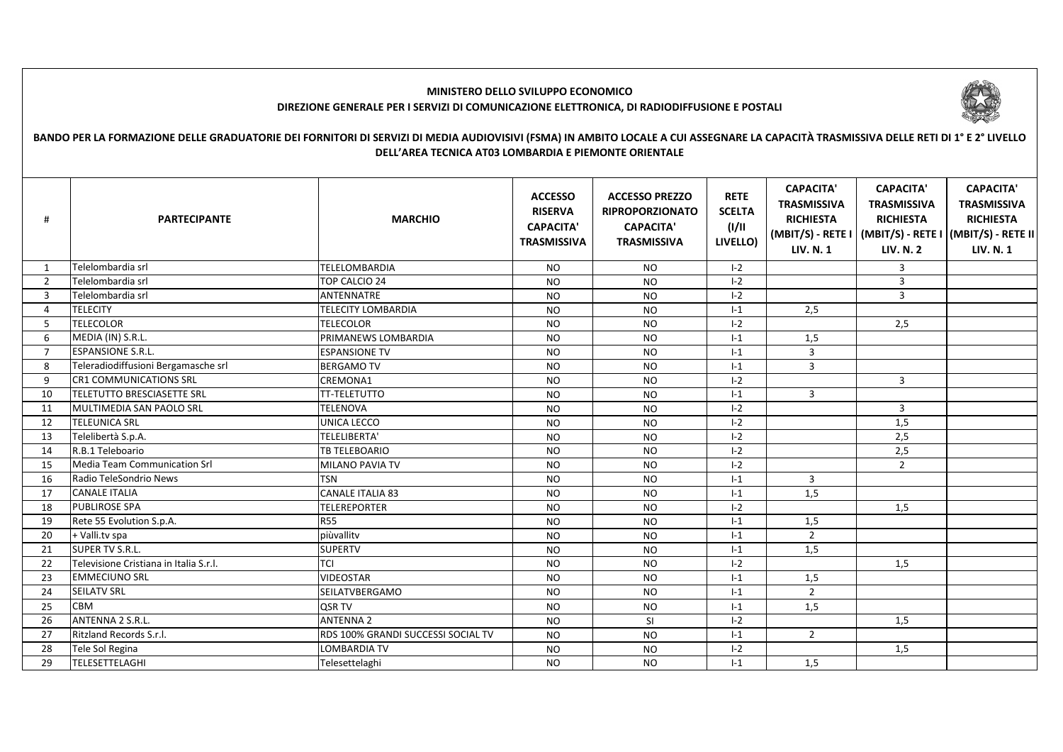

## **MINISTERO DELLO SVILUPPO ECONOMICODIREZIONE GENERALE PER I SERVIZI DI COMUNICAZIONE ELETTRONICA, DI RADIODIFFUSIONE E POSTALI**

## **BANDO PER LA FORMAZIONE DELLE GRADUATORIE DEI FORNITORI DI SERVIZI DI MEDIA AUDIOVISIVI (FSMA) IN AMBITO LOCALE A CUI ASSEGNARE LA CAPACITÀ TRASMISSIVA DELLE RETI DI 1° E 2° LIVELLO DELL'AREA TECNICA AT03 LOMBARDIA E PIEMONTE ORIENTALE**

| Telelombardia srl<br><b>TELELOMBARDIA</b><br><b>NO</b><br>$I-2$<br>3<br><b>NO</b><br>1<br>Telelombardia srl<br>TOP CALCIO 24<br><b>NO</b><br>$I-2$<br><b>NO</b><br>3<br>2<br>$I-2$<br>$\overline{3}$<br><b>ANTENNATRE</b><br>$\overline{3}$<br>Telelombardia srl<br><b>NO</b><br><b>NO</b><br><b>TELECITY LOMBARDIA</b><br><b>TELECITY</b><br>$I-1$<br>2,5<br>$\overline{a}$<br><b>NO</b><br><b>NO</b><br><b>TELECOLOR</b><br>5<br><b>TELECOLOR</b><br>$I - 2$<br>2,5<br><b>NO</b><br><b>NO</b><br>6<br>MEDIA (IN) S.R.L.<br>PRIMANEWS LOMBARDIA<br><b>NO</b><br><b>NO</b><br>$I-1$<br>1,5<br>$\mathbf{3}$<br><b>ESPANSIONE S.R.L.</b><br>$\overline{7}$<br><b>NO</b><br><b>NO</b><br>$I-1$<br><b>ESPANSIONE TV</b><br>$\overline{3}$<br><b>BERGAMO TV</b><br>8<br>Teleradiodiffusioni Bergamasche srl<br>$I-1$<br><b>NO</b><br><b>NO</b><br><b>CR1 COMMUNICATIONS SRL</b><br>9<br>CREMONA1<br>$I-2$<br>3<br><b>NO</b><br><b>NO</b><br><b>TELETUTTO BRESCIASETTE SRL</b><br>$\overline{3}$<br><b>TT-TELETUTTO</b><br><b>NO</b><br>10<br><b>NO</b><br>$I-1$ | <b>CAPACITA'</b><br><b>TRASMISSIVA</b><br><b>RICHIESTA</b><br>(MBIT/S) - RETE I   (MBIT/S) - RETE I   (MBIT/S) - RETE II<br><b>LIV. N. 1</b> |
|------------------------------------------------------------------------------------------------------------------------------------------------------------------------------------------------------------------------------------------------------------------------------------------------------------------------------------------------------------------------------------------------------------------------------------------------------------------------------------------------------------------------------------------------------------------------------------------------------------------------------------------------------------------------------------------------------------------------------------------------------------------------------------------------------------------------------------------------------------------------------------------------------------------------------------------------------------------------------------------------------------------------------------------------------------|----------------------------------------------------------------------------------------------------------------------------------------------|
|                                                                                                                                                                                                                                                                                                                                                                                                                                                                                                                                                                                                                                                                                                                                                                                                                                                                                                                                                                                                                                                            |                                                                                                                                              |
|                                                                                                                                                                                                                                                                                                                                                                                                                                                                                                                                                                                                                                                                                                                                                                                                                                                                                                                                                                                                                                                            |                                                                                                                                              |
|                                                                                                                                                                                                                                                                                                                                                                                                                                                                                                                                                                                                                                                                                                                                                                                                                                                                                                                                                                                                                                                            |                                                                                                                                              |
|                                                                                                                                                                                                                                                                                                                                                                                                                                                                                                                                                                                                                                                                                                                                                                                                                                                                                                                                                                                                                                                            |                                                                                                                                              |
|                                                                                                                                                                                                                                                                                                                                                                                                                                                                                                                                                                                                                                                                                                                                                                                                                                                                                                                                                                                                                                                            |                                                                                                                                              |
|                                                                                                                                                                                                                                                                                                                                                                                                                                                                                                                                                                                                                                                                                                                                                                                                                                                                                                                                                                                                                                                            |                                                                                                                                              |
|                                                                                                                                                                                                                                                                                                                                                                                                                                                                                                                                                                                                                                                                                                                                                                                                                                                                                                                                                                                                                                                            |                                                                                                                                              |
|                                                                                                                                                                                                                                                                                                                                                                                                                                                                                                                                                                                                                                                                                                                                                                                                                                                                                                                                                                                                                                                            |                                                                                                                                              |
|                                                                                                                                                                                                                                                                                                                                                                                                                                                                                                                                                                                                                                                                                                                                                                                                                                                                                                                                                                                                                                                            |                                                                                                                                              |
|                                                                                                                                                                                                                                                                                                                                                                                                                                                                                                                                                                                                                                                                                                                                                                                                                                                                                                                                                                                                                                                            |                                                                                                                                              |
| MULTIMEDIA SAN PAOLO SRL<br>$I - 2$<br>$\overline{3}$<br><b>TELENOVA</b><br><b>NO</b><br><b>NO</b><br>11                                                                                                                                                                                                                                                                                                                                                                                                                                                                                                                                                                                                                                                                                                                                                                                                                                                                                                                                                   |                                                                                                                                              |
| UNICA LECCO<br>$I - 2$<br>1,5<br>12<br><b>TELEUNICA SRL</b><br><b>NO</b><br><b>NO</b>                                                                                                                                                                                                                                                                                                                                                                                                                                                                                                                                                                                                                                                                                                                                                                                                                                                                                                                                                                      |                                                                                                                                              |
| Telelibertà S.p.A.<br>TELELIBERTA'<br>$I-2$<br>2,5<br>13<br><b>NO</b><br><b>NO</b>                                                                                                                                                                                                                                                                                                                                                                                                                                                                                                                                                                                                                                                                                                                                                                                                                                                                                                                                                                         |                                                                                                                                              |
| R.B.1 Teleboario<br>2,5<br>TB TELEBOARIO<br>$I-2$<br>14<br><b>NO</b><br><b>NO</b>                                                                                                                                                                                                                                                                                                                                                                                                                                                                                                                                                                                                                                                                                                                                                                                                                                                                                                                                                                          |                                                                                                                                              |
| Media Team Communication Srl<br>15<br><b>NO</b><br>$I-2$<br>$\overline{2}$<br><b>MILANO PAVIA TV</b><br><b>NO</b>                                                                                                                                                                                                                                                                                                                                                                                                                                                                                                                                                                                                                                                                                                                                                                                                                                                                                                                                          |                                                                                                                                              |
| <b>TSN</b><br>3<br>16<br>Radio TeleSondrio News<br>$I-1$<br><b>NO</b><br><b>NO</b>                                                                                                                                                                                                                                                                                                                                                                                                                                                                                                                                                                                                                                                                                                                                                                                                                                                                                                                                                                         |                                                                                                                                              |
| <b>CANALE ITALIA 83</b><br>17<br><b>CANALE ITALIA</b><br>$I-1$<br>1,5<br><b>NO</b><br><b>NO</b>                                                                                                                                                                                                                                                                                                                                                                                                                                                                                                                                                                                                                                                                                                                                                                                                                                                                                                                                                            |                                                                                                                                              |
| <b>PUBLIROSE SPA</b><br>$I-2$<br>18<br><b>TELEREPORTER</b><br>1,5<br><b>NO</b><br><b>NO</b>                                                                                                                                                                                                                                                                                                                                                                                                                                                                                                                                                                                                                                                                                                                                                                                                                                                                                                                                                                |                                                                                                                                              |
| Rete 55 Evolution S.p.A.<br><b>R55</b><br>19<br>N <sub>O</sub><br><b>NO</b><br>$I-1$<br>1,5                                                                                                                                                                                                                                                                                                                                                                                                                                                                                                                                                                                                                                                                                                                                                                                                                                                                                                                                                                |                                                                                                                                              |
| piùvallitv<br>+ Valli.tv spa<br><b>NO</b><br><b>NO</b><br>$I-1$<br>$\overline{2}$<br>20                                                                                                                                                                                                                                                                                                                                                                                                                                                                                                                                                                                                                                                                                                                                                                                                                                                                                                                                                                    |                                                                                                                                              |
| 1,5<br><b>SUPER TV S.R.L.</b><br><b>SUPERTV</b><br>$I-1$<br>21<br><b>NO</b><br><b>NO</b>                                                                                                                                                                                                                                                                                                                                                                                                                                                                                                                                                                                                                                                                                                                                                                                                                                                                                                                                                                   |                                                                                                                                              |
| Televisione Cristiana in Italia S.r.l.<br>TCI<br>22<br>$I-2$<br>1,5<br><b>NO</b><br><b>NO</b>                                                                                                                                                                                                                                                                                                                                                                                                                                                                                                                                                                                                                                                                                                                                                                                                                                                                                                                                                              |                                                                                                                                              |
| <b>EMMECIUNO SRL</b><br><b>VIDEOSTAR</b><br>23<br><b>NO</b><br><b>NO</b><br>$I-1$<br>1,5                                                                                                                                                                                                                                                                                                                                                                                                                                                                                                                                                                                                                                                                                                                                                                                                                                                                                                                                                                   |                                                                                                                                              |
| $\overline{2}$<br><b>SEILATV SRL</b><br>24<br>SEILATVBERGAMO<br><b>NO</b><br><b>NO</b><br>$I-1$                                                                                                                                                                                                                                                                                                                                                                                                                                                                                                                                                                                                                                                                                                                                                                                                                                                                                                                                                            |                                                                                                                                              |
| <b>CBM</b><br>QSR TV<br><b>NO</b><br>25<br><b>NO</b><br>$I-1$<br>1,5                                                                                                                                                                                                                                                                                                                                                                                                                                                                                                                                                                                                                                                                                                                                                                                                                                                                                                                                                                                       |                                                                                                                                              |
| ANTENNA 2 S.R.L.<br>$I-2$<br>26<br><b>ANTENNA 2</b><br><b>SI</b><br>1,5<br><b>NO</b>                                                                                                                                                                                                                                                                                                                                                                                                                                                                                                                                                                                                                                                                                                                                                                                                                                                                                                                                                                       |                                                                                                                                              |
| 27<br>Ritzland Records S.r.l.<br>RDS 100% GRANDI SUCCESSI SOCIAL TV<br>$I-1$<br>$\overline{2}$<br><b>NO</b><br><b>NO</b>                                                                                                                                                                                                                                                                                                                                                                                                                                                                                                                                                                                                                                                                                                                                                                                                                                                                                                                                   |                                                                                                                                              |
| Tele Sol Regina<br>28<br><b>LOMBARDIA TV</b><br>$I-2$<br>1,5<br><b>NO</b><br><b>NO</b>                                                                                                                                                                                                                                                                                                                                                                                                                                                                                                                                                                                                                                                                                                                                                                                                                                                                                                                                                                     |                                                                                                                                              |
| TELESETTELAGHI<br>29<br><b>NO</b><br><b>NO</b><br>$I-1$<br>1,5<br>Telesettelaghi                                                                                                                                                                                                                                                                                                                                                                                                                                                                                                                                                                                                                                                                                                                                                                                                                                                                                                                                                                           |                                                                                                                                              |